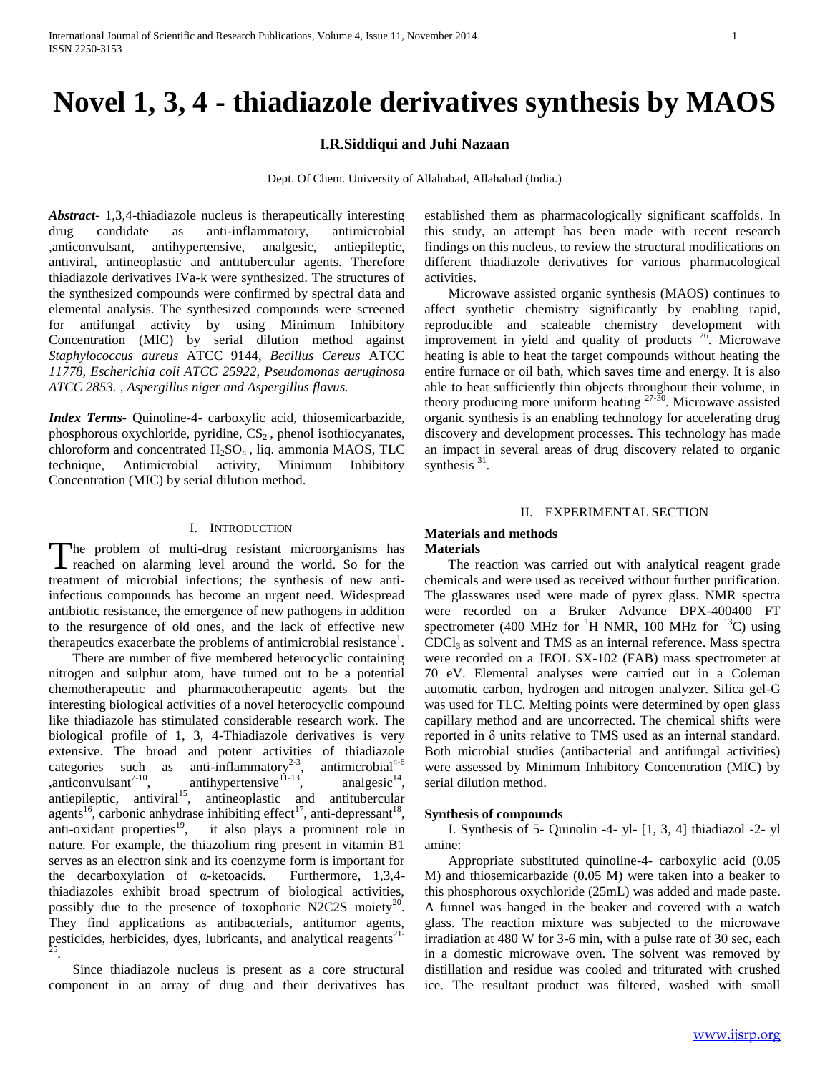# **Novel 1, 3, 4 - thiadiazole derivatives synthesis by MAOS**

# **I.R.Siddiqui and Juhi Nazaan**

Dept. Of Chem. University of Allahabad, Allahabad (India.)

*Abstract***-** 1,3,4-thiadiazole nucleus is therapeutically interesting drug candidate as anti-inflammatory, antimicrobial ,anticonvulsant, antihypertensive, analgesic, antiepileptic, antiviral, antineoplastic and antitubercular agents. Therefore thiadiazole derivatives IVa-k were synthesized. The structures of the synthesized compounds were confirmed by spectral data and elemental analysis. The synthesized compounds were screened for antifungal activity by using Minimum Inhibitory Concentration (MIC) by serial dilution method against *Staphylococcus aureus* ATCC 9144*, Becillus Cereus* ATCC *11778, Escherichia coli ATCC 25922, Pseudomonas aeruginosa ATCC 2853.* , *Aspergillus niger and Aspergillus flavus.*

*Index Terms*- Quinoline-4- carboxylic acid, thiosemicarbazide, phosphorous oxychloride, pyridine,  $CS<sub>2</sub>$ , phenol isothiocyanates, chloroform and concentrated  $H_2SO_4$ , liq. ammonia MAOS, TLC technique, Antimicrobial activity, Minimum Inhibitory Concentration (MIC) by serial dilution method.

#### I. INTRODUCTION

The problem of multi-drug resistant microorganisms has The problem of multi-drug resistant microorganisms has reached on alarming level around the world. So for the treatment of microbial infections; the synthesis of new antiinfectious compounds has become an urgent need. Widespread antibiotic resistance, the emergence of new pathogens in addition to the resurgence of old ones, and the lack of effective new therapeutics exacerbate the problems of antimicrobial resistance<sup>1</sup>.

 There are number of five membered heterocyclic containing nitrogen and sulphur atom, have turned out to be a potential chemotherapeutic and pharmacotherapeutic agents but the interesting biological activities of a novel heterocyclic compound like thiadiazole has stimulated considerable research work. The biological profile of 1, 3, 4-Thiadiazole derivatives is very extensive. The broad and potent activities of thiadiazole categories such as anti-inflammatory<sup>2-3</sup> antimicrobial $4-6$  $,\text{anticonvulsant}^{7-10},\text{anti-hymmetensive}^{11-13},$ analgesic $14$ .  $\sum_{n=1}^{\infty}$  antiepileptic, antiviral<sup>15</sup>, antineoplastic and antitubercular agents<sup>16</sup>, carbonic anhydrase inhibiting effect<sup>17</sup>, anti-depressant<sup>18</sup>, anti-oxidant properties<sup>19</sup>, it also plays a prominent role in nature. For example, the thiazolium ring present in vitamin B1 serves as an electron sink and its coenzyme form is important for the decarboxylation of α-ketoacids. Furthermore, 1,3,4 thiadiazoles exhibit broad spectrum of biological activities, possibly due to the presence of toxophoric N2C2S moiety<sup>20</sup>. They find applications as antibacterials, antitumor agents, pesticides, herbicides, dyes, lubricants, and analytical reagents<sup>21-25</sup>.

 Since thiadiazole nucleus is present as a core structural component in an array of drug and their derivatives has established them as pharmacologically significant scaffolds. In this study, an attempt has been made with recent research findings on this nucleus, to review the structural modifications on different thiadiazole derivatives for various pharmacological activities.

 Microwave assisted organic synthesis (MAOS) continues to affect synthetic chemistry significantly by enabling rapid, reproducible and scaleable chemistry development with improvement in yield and quality of products  $26^{\circ}$ . Microwave heating is able to heat the target compounds without heating the entire furnace or oil bath, which saves time and energy. It is also able to heat sufficiently thin objects throughout their volume, in theory producing more uniform heating  $27-30$ . Microwave assisted organic synthesis is an enabling technology for accelerating drug discovery and development processes. This technology has made an impact in several areas of drug discovery related to organic synthesis  $31$ .

#### II. EXPERIMENTAL SECTION

#### **Materials and methods Materials**

 The reaction was carried out with analytical reagent grade chemicals and were used as received without further purification. The glasswares used were made of pyrex glass. NMR spectra were recorded on a Bruker Advance DPX-400400 FT spectrometer (400 MHz for <sup>1</sup>H NMR, 100 MHz for <sup>13</sup>C) using  $CDCl<sub>3</sub>$  as solvent and TMS as an internal reference. Mass spectra were recorded on a JEOL SX-102 (FAB) mass spectrometer at 70 eV. Elemental analyses were carried out in a Coleman automatic carbon, hydrogen and nitrogen analyzer. Silica gel-G was used for TLC. Melting points were determined by open glass capillary method and are uncorrected. The chemical shifts were reported in δ units relative to TMS used as an internal standard. Both microbial studies (antibacterial and antifungal activities) were assessed by Minimum Inhibitory Concentration (MIC) by serial dilution method.

#### **Synthesis of compounds**

 I. Synthesis of 5- Quinolin -4- yl- [1, 3, 4] thiadiazol -2- yl amine:

 Appropriate substituted quinoline-4- carboxylic acid (0.05 M) and thiosemicarbazide (0.05 M) were taken into a beaker to this phosphorous oxychloride (25mL) was added and made paste. A funnel was hanged in the beaker and covered with a watch glass. The reaction mixture was subjected to the microwave irradiation at 480 W for 3-6 min, with a pulse rate of 30 sec, each in a domestic microwave oven. The solvent was removed by distillation and residue was cooled and triturated with crushed ice. The resultant product was filtered, washed with small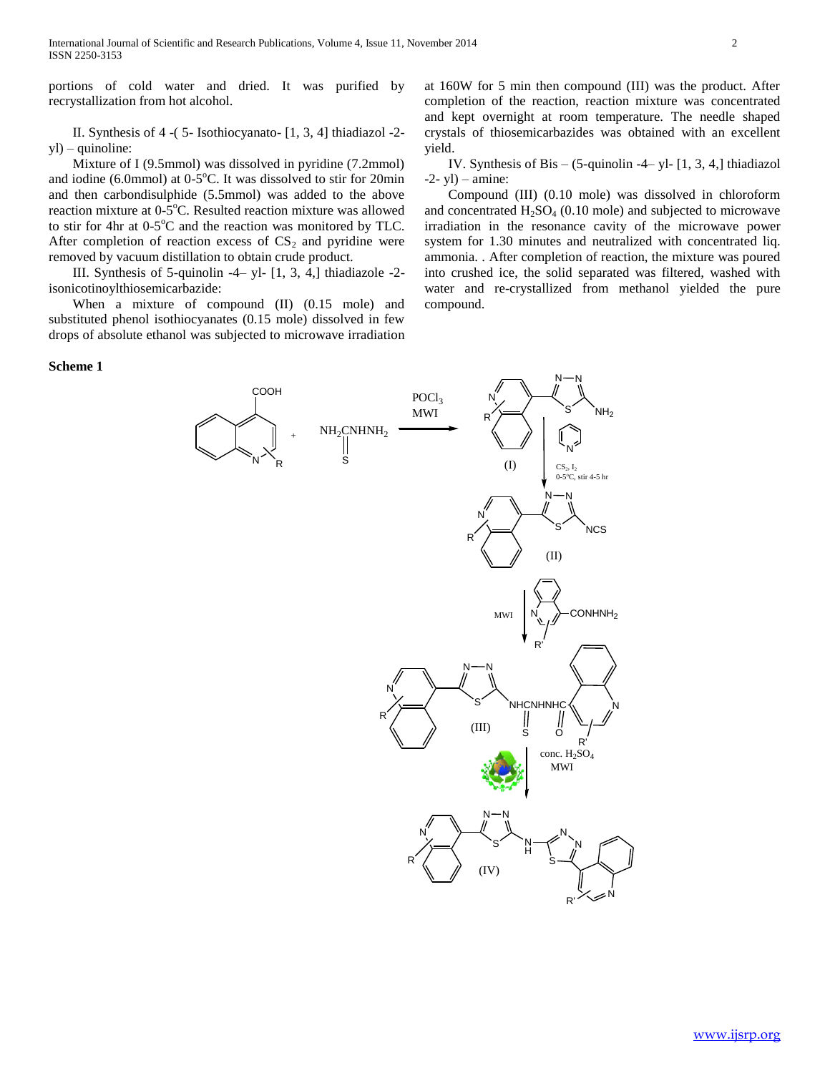portions of cold water and dried. It was purified by recrystallization from hot alcohol.

 II. Synthesis of 4 -( 5- Isothiocyanato- [1, 3, 4] thiadiazol -2 yl) – quinoline:

 Mixture of I (9.5mmol) was dissolved in pyridine (7.2mmol) and iodine  $(6.0 \text{mmol})$  at  $0.5^{\circ}$ C. It was dissolved to stir for 20min and then carbondisulphide (5.5mmol) was added to the above reaction mixture at 0-5°C. Resulted reaction mixture was allowed to stir for 4hr at  $0-5^{\circ}$ C and the reaction was monitored by TLC. After completion of reaction excess of  $CS_2$  and pyridine were removed by vacuum distillation to obtain crude product.

 III. Synthesis of 5-quinolin -4– yl- [1, 3, 4,] thiadiazole -2 isonicotinoylthiosemicarbazide:

 When a mixture of compound (II) (0.15 mole) and substituted phenol isothiocyanates (0.15 mole) dissolved in few drops of absolute ethanol was subjected to microwave irradiation

#### **Scheme 1**

at 160W for 5 min then compound (III) was the product. After completion of the reaction, reaction mixture was concentrated and kept overnight at room temperature. The needle shaped crystals of thiosemicarbazides was obtained with an excellent yield.

 IV. Synthesis of Bis – (5-quinolin -4– yl- [1, 3, 4,] thiadiazol  $-2$ - yl $)$  – amine:

 Compound (III) (0.10 mole) was dissolved in chloroform and concentrated  $H_2SO_4$  (0.10 mole) and subjected to microwave irradiation in the resonance cavity of the microwave power system for 1.30 minutes and neutralized with concentrated liq. ammonia. . After completion of reaction, the mixture was poured into crushed ice, the solid separated was filtered, washed with water and re-crystallized from methanol yielded the pure compound.

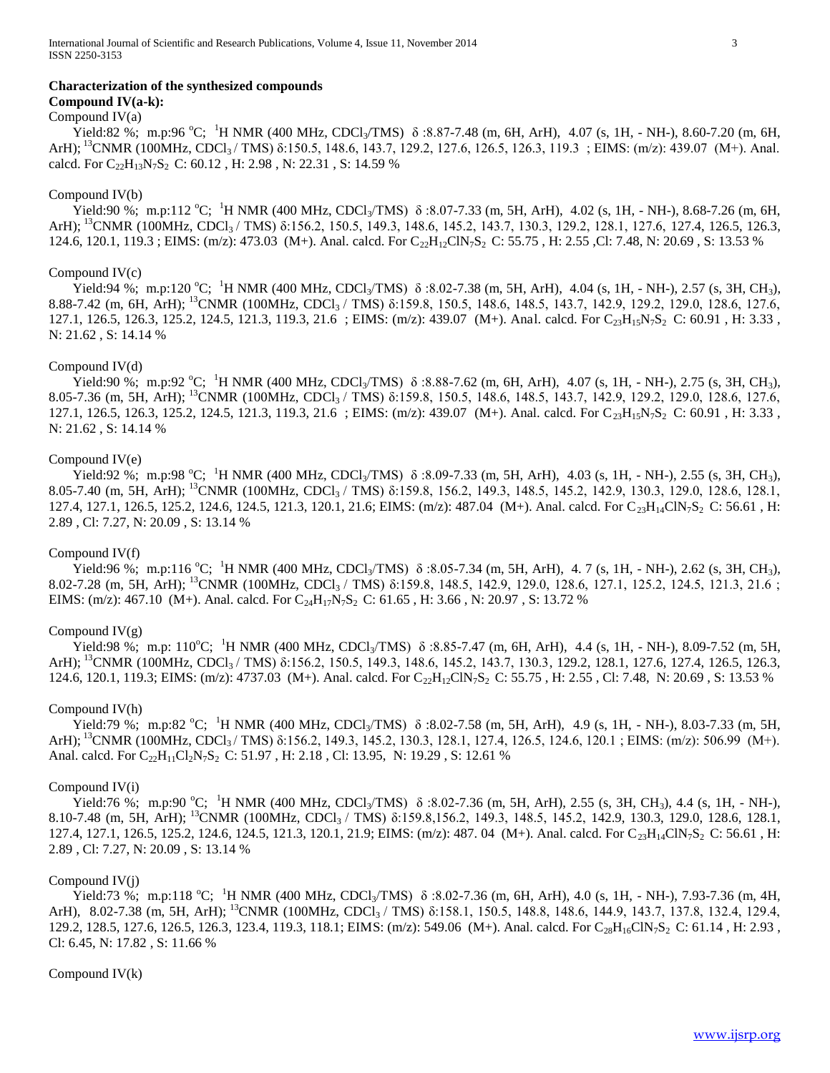#### **Characterization of the synthesized compounds**

# **Compound IV(a-k):**

Compound  $IV(a)$ 

Yield:82 %; m.p:96 °C; <sup>1</sup>H NMR (400 MHz, CDCl<sub>3</sub>/TMS)  $\delta$  :8.87-7.48 (m, 6H, ArH), 4.07 (s, 1H, - NH-), 8.60-7.20 (m, 6H, ArH);  ${}^{13}$ CNMR (100MHz, CDCl<sub>3</sub>/TMS)  $\delta$ :150.5, 148.6, 143.7, 129.2, 127.6, 126.5, 126.3, 119.3; EIMS: (m/z): 439.07 (M+). Anal. calcd. For  $C_{22}H_{13}N_7S_2$  C: 60.12, H: 2.98, N: 22.31, S: 14.59 %

# Compound IV(b)

Yield:90 %; m.p:112 °C; <sup>1</sup>H NMR (400 MHz, CDCl<sub>3</sub>/TMS)  $\delta$  :8.07-7.33 (m, 5H, ArH), 4.02 (s, 1H, - NH-), 8.68-7.26 (m, 6H, ArH); <sup>13</sup>CNMR (100MHz, CDCl<sub>3</sub> / TMS) δ:156.2, 150.5, 149.3, 148.6, 145.2, 143.7, 130.3, 129.2, 128.1, 127.6, 127.4, 126.5, 126.3, 124.6, 120.1, 119.3; EIMS: (m/z): 473.03 (M+). Anal. calcd. For C<sub>22</sub>H<sub>12</sub>ClN<sub>7</sub>S<sub>2</sub> C: 55.75, H: 2.55, Cl: 7.48, N: 20.69, S: 13.53 %

# Compound IV(c)

Yield:94 %; m.p:120 °C; <sup>1</sup>H NMR (400 MHz, CDCl<sub>3</sub>/TMS)  $\delta$  :8.02-7.38 (m, 5H, ArH), 4.04 (s, 1H, - NH-), 2.57 (s, 3H, CH<sub>3</sub>), 8.88-7.42 (m, 6H, ArH); <sup>13</sup>CNMR (100MHz, CDCl3 / TMS) δ:159.8, 150.5, 148.6, 148.5, 143.7, 142.9, 129.2, 129.0, 128.6, 127.6, 127.1, 126.5, 126.3, 125.2, 124.5, 121.3, 119.3, 21.6 ; EIMS: (m/z): 439.07 (M+). Anal. calcd. For C<sub>23</sub>H<sub>15</sub>N<sub>7</sub>S<sub>2</sub> C: 60.91, H: 3.33, N: 21.62 , S: 14.14 %

#### Compound IV(d)

Yield:90 %; m.p:92 °C; <sup>1</sup>H NMR (400 MHz, CDCl<sub>3</sub>/TMS)  $\delta$  :8.88-7.62 (m, 6H, ArH), 4.07 (s, 1H, - NH-), 2.75 (s, 3H, CH<sub>3</sub>), 8.05-7.36 (m, 5H, ArH); <sup>13</sup>CNMR (100MHz, CDCl3 / TMS) δ:159.8, 150.5, 148.6, 148.5, 143.7, 142.9, 129.2, 129.0, 128.6, 127.6, 127.1, 126.5, 126.3, 125.2, 124.5, 121.3, 119.3, 21.6 ; EIMS: (m/z): 439.07 (M+). Anal. calcd. For C<sub>23</sub>H<sub>15</sub>N<sub>7</sub>S<sub>2</sub> C: 60.91, H: 3.33, N: 21.62 , S: 14.14 %

#### Compound IV(e)

Yield:92 %; m.p:98 °C; <sup>1</sup>H NMR (400 MHz, CDCl<sub>3</sub>/TMS)  $\delta$  :8.09-7.33 (m, 5H, ArH), 4.03 (s, 1H, - NH-), 2.55 (s, 3H, CH<sub>3</sub>), 8.05-7.40 (m, 5H, ArH); <sup>13</sup>CNMR (100MHz, CDCl3 / TMS) δ:159.8, 156.2, 149.3, 148.5, 145.2, 142.9, 130.3, 129.0, 128.6, 128.1, 127.4, 127.1, 126.5, 125.2, 124.6, 124.5, 121.3, 120.1, 21.6; EIMS: (m/z): 487.04 (M+). Anal. calcd. For C<sub>23</sub>H<sub>14</sub>ClN<sub>7</sub>S<sub>2</sub> C: 56.61, H: 2.89 , Cl: 7.27, N: 20.09 , S: 13.14 %

#### Compound IV(f)

Yield:96 %; m.p:116 °C; <sup>1</sup>H NMR (400 MHz, CDCl<sub>3</sub>/TMS)  $\delta$  :8.05-7.34 (m, 5H, ArH), 4. 7 (s, 1H, - NH-), 2.62 (s, 3H, CH<sub>3</sub>), 8.02-7.28 (m, 5H, ArH); <sup>13</sup>CNMR (100MHz, CDCl3 / TMS) δ:159.8, 148.5, 142.9, 129.0, 128.6, 127.1, 125.2, 124.5, 121.3, 21.6 ; EIMS: (m/z): 467.10 (M+). Anal. calcd. For  $C_{24}H_{17}N_7S_2$  C: 61.65, H: 3.66, N: 20.97, S: 13.72 %

#### Compound  $IV(g)$

Yield:98 %; m.p: 110°C; <sup>1</sup>H NMR (400 MHz, CDCl<sub>3</sub>/TMS)  $\delta$ :8.85-7.47 (m, 6H, ArH), 4.4 (s, 1H, - NH-), 8.09-7.52 (m, 5H, ArH); <sup>13</sup>CNMR (100MHz, CDCl<sub>3</sub> / TMS) δ:156.2, 150.5, 149.3, 148.6, 145.2, 143.7, 130.3, 129.2, 128.1, 127.6, 127.4, 126.5, 126.3, 124.6, 120.1, 119.3; EIMS: (m/z): 4737.03 (M+). Anal. calcd. For C<sub>22</sub>H<sub>12</sub>ClN<sub>7</sub>S<sub>2</sub> C: 55.75, H: 2.55, Cl: 7.48, N: 20.69, S: 13.53 %

#### Compound IV(h)

Yield:79 %; m.p:82 °C; <sup>1</sup>H NMR (400 MHz, CDCl<sub>3</sub>/TMS)  $\delta$  :8.02-7.58 (m, 5H, ArH), 4.9 (s, 1H, - NH-), 8.03-7.33 (m, 5H, ArH); <sup>13</sup>CNMR (100MHz, CDCl<sub>3</sub>/TMS) δ:156.2, 149.3, 145.2, 130.3, 128.1, 127.4, 126.5, 124.6, 120.1 ; EIMS: (m/z): 506.99 (M+). Anal. calcd. For C<sub>22</sub>H<sub>11</sub>Cl<sub>2</sub>N<sub>7</sub>S<sub>2</sub> C: 51.97, H: 2.18, Cl: 13.95, N: 19.29, S: 12.61 %

#### Compound IV(i)

Yield:76 %; m.p:90 °C; <sup>1</sup>H NMR (400 MHz, CDCl<sub>3</sub>/TMS)  $\delta$  :8.02-7.36 (m, 5H, ArH), 2.55 (s, 3H, CH<sub>3</sub>), 4.4 (s, 1H, - NH-), 8.10-7.48 (m, 5H, ArH); <sup>13</sup>CNMR (100MHz, CDCl<sub>3</sub> / TMS) δ:159.8,156.2, 149.3, 148.5, 145.2, 142.9, 130.3, 129.0, 128.6, 128.1, 127.4, 127.1, 126.5, 125.2, 124.6, 124.5, 121.3, 120.1, 21.9; EIMS: (m/z): 487. 04 (M+). Anal. calcd. For C<sub>23</sub>H<sub>14</sub>ClN<sub>7</sub>S<sub>2</sub> C: 56.61, H: 2.89 , Cl: 7.27, N: 20.09 , S: 13.14 %

#### Compound IV(j)

Yield:73 %; m.p:118 °C; <sup>1</sup>H NMR (400 MHz, CDCl<sub>3</sub>/TMS)  $\delta$  :8.02-7.36 (m, 6H, ArH), 4.0 (s, 1H, - NH-), 7.93-7.36 (m, 4H, ArH), 8.02-7.38 (m, 5H, ArH); <sup>13</sup>CNMR (100MHz, CDCl<sub>3</sub> / TMS) δ:158.1, 150.5, 148.8, 148.6, 144.9, 143.7, 137.8, 132.4, 129.4, 129.2, 128.5, 127.6, 126.5, 126.3, 123.4, 119.3, 118.1; EIMS: (m/z): 549.06 (M+). Anal. calcd. For C<sub>28</sub>H<sub>16</sub>ClN<sub>7</sub>S<sub>2</sub> C: 61.14 , H: 2.93, Cl: 6.45, N: 17.82 , S: 11.66 %

#### Compound IV(k)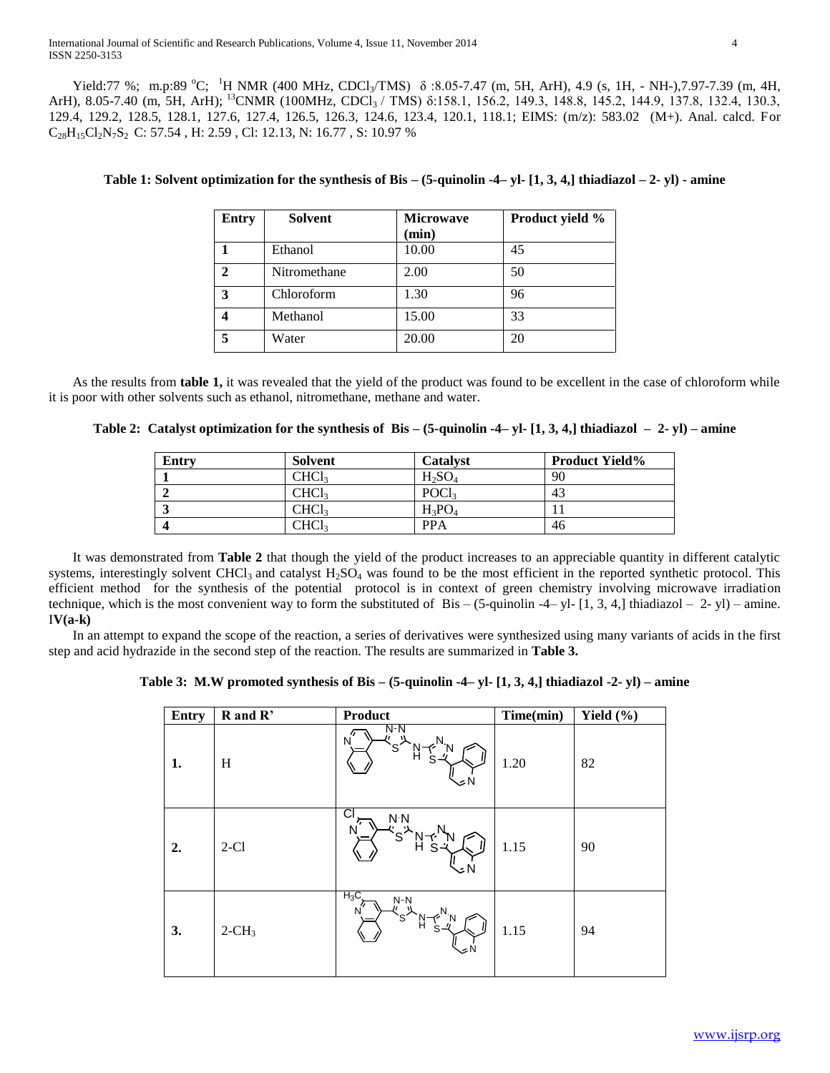Yield:77 %; m.p:89 °C; <sup>1</sup>H NMR (400 MHz, CDCl<sub>3</sub>/TMS)  $\delta$  :8.05-7.47 (m, 5H, ArH), 4.9 (s, 1H, - NH-),7.97-7.39 (m, 4H, ArH), 8.05-7.40 (m, 5H, ArH); <sup>13</sup>CNMR (100MHz, CDCl<sub>3</sub> / TMS) δ:158.1, 156.2, 149.3, 148.8, 145.2, 144.9, 137.8, 132.4, 130.3, 129.4, 129.2, 128.5, 128.1, 127.6, 127.4, 126.5, 126.3, 124.6, 123.4, 120.1, 118.1; EIMS: (m/z): 583.02 (M+). Anal. calcd. For  $\rm C_{28}H_{15}Cl_2N_7S_2$  C: 57.54 , H: 2.59 , Cl: 12.13, N: 16.77 , S: 10.97 %

| <b>Entry</b>  | <b>Solvent</b> | <b>Microwave</b> | Product yield % |
|---------------|----------------|------------------|-----------------|
|               |                | (min)            |                 |
|               | Ethanol        | 10.00            | 45              |
| $\mathcal{D}$ | Nitromethane   | 2.00             | 50              |
| 3             | Chloroform     | 1.30             | 96              |
|               | Methanol       | 15.00            | 33              |
| 5             | Water          | 20.00            | 20              |

# **Table 1: Solvent optimization for the synthesis of Bis – (5-quinolin -4– yl- [1, 3, 4,] thiadiazol – 2- yl) - amine**

 As the results from **table 1,** it was revealed that the yield of the product was found to be excellent in the case of chloroform while it is poor with other solvents such as ethanol, nitromethane, methane and water.

| Table 2: Catalyst optimization for the synthesis of Bis $-$ (5-quinolin -4– yl- [1, 3, 4,] thiadiazol $-$ 2- yl) $-$ amine |  |  |  |
|----------------------------------------------------------------------------------------------------------------------------|--|--|--|
|                                                                                                                            |  |  |  |

| <b>Entry</b> | Solvent     | <b>Catalyst</b>   | <b>Product Yield%</b> |
|--------------|-------------|-------------------|-----------------------|
|              | CHCl        | $H_2SO_4$         | 90                    |
|              | CHCl        | POCl <sub>3</sub> | 43                    |
|              | CHCl        | $H_3PO_4$         |                       |
|              | <b>CHCL</b> | <b>PPA</b>        | 46                    |

 It was demonstrated from **Table 2** that though the yield of the product increases to an appreciable quantity in different catalytic systems, interestingly solvent CHCl<sub>3</sub> and catalyst  $H_2SO_4$  was found to be the most efficient in the reported synthetic protocol. This efficient method for the synthesis of the potential protocol is in context of green chemistry involving microwave irradiation technique, which is the most convenient way to form the substituted of Bis –  $(5$ -quinolin -4– yl-  $[1, 3, 4]$  thiadiazol – 2- yl) – amine. I**V(a-k)**

 In an attempt to expand the scope of the reaction, a series of derivatives were synthesized using many variants of acids in the first step and acid hydrazide in the second step of the reaction. The results are summarized in **Table 3.**

**Table 3: M.W promoted synthesis of Bis – (5-quinolin -4– yl- [1, 3, 4,] thiadiazol -2- yl) – amine**

| Entry | R and R'             | Product                              | Time(min) | Yield $(\% )$ |
|-------|----------------------|--------------------------------------|-----------|---------------|
| 1.    | H                    | $N-N$<br>"<br>N<br>S.<br>ĥ<br>∽ N    | 1.20      | 82            |
| 2.    | $2-C1$               | Cl<br>N <sub>N</sub><br>N<br>S<br>J۸ | 1.15      | 90            |
| 3.    | $2$ -CH <sub>3</sub> | $H_3C$<br>$N-N$<br>N<br>S.<br>oΝ     | 1.15      | 94            |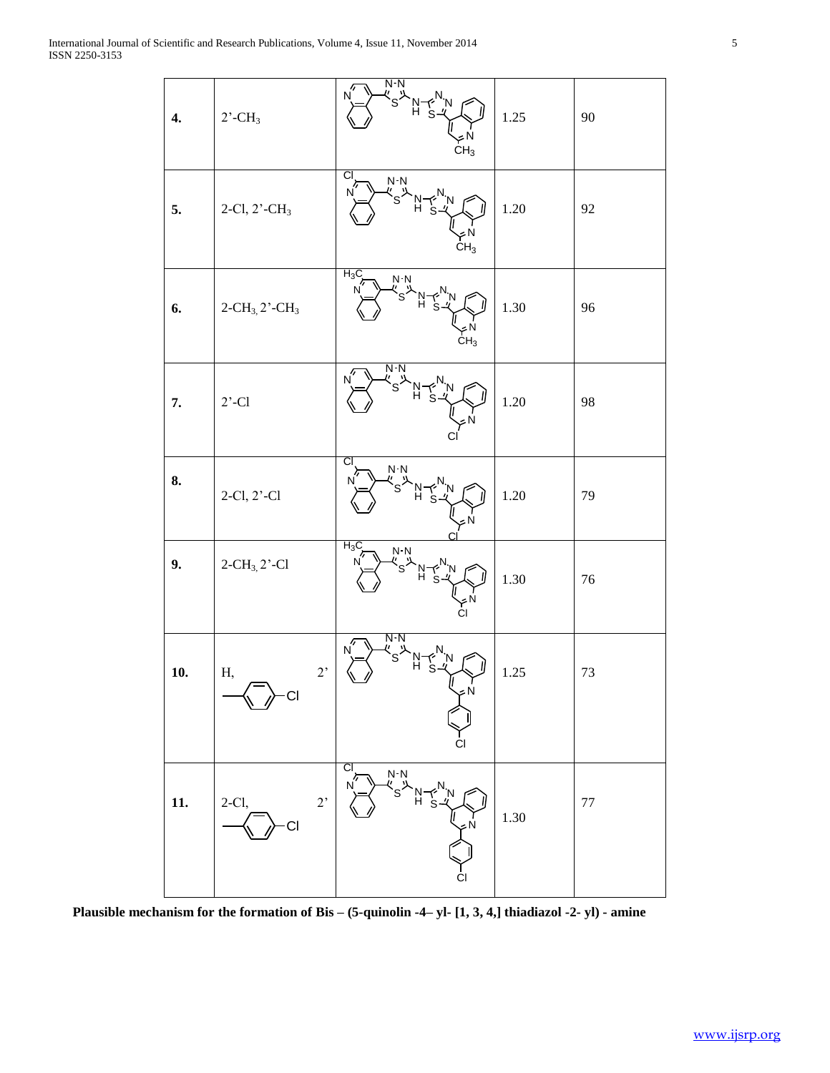| 4.  | $2$ <sup>-</sup> CH <sub>3</sub>       | $N-N$<br>N<br><sup>ر</sup> چ"<br>VN<br>CH <sub>3</sub>                    | $1.25\,$ | $90\,$ |
|-----|----------------------------------------|---------------------------------------------------------------------------|----------|--------|
| 5.  | 2-Cl, 2'-CH <sub>3</sub>               | CI<br>$N-N$<br>N<br>'s<br>$\begin{array}{c} 0 \leq N \\ CH_3 \end{array}$ | $1.20\,$ | 92     |
| 6.  | $2 - CH_3$ , $2 - CH_3$                | $H_3C$<br>N N<br>" <sub>ຣ</sub> '<br>$\widetilde{\mathsf{CH}}_3$          | $1.30\,$ | 96     |
| 7.  | $2'$ -Cl                               | N-N<br>N                                                                  | $1.20\,$ | 98     |
| 8.  | 2-Cl, 2'-Cl                            | CI<br>$N-N$<br>N                                                          | 1.20     | 79     |
| 9.  | $2-CH_3$ , $2'-Cl$                     | $H_3C$<br>$N$ N<br>N<br>S<br>YPN<br>Cl                                    | 1.30     | $76\,$ |
| 10. | $2,$<br>Н,<br>CI                       | $N-N$<br>N<br>J<br>۶N<br>C                                                | 1.25     | $73\,$ |
| 11. | $2^\circ$<br>$2-Cl,$<br>C <sub>l</sub> | CI<br>N-N<br>"S"<br>CI                                                    | 1.30     | $77\,$ |

**Plausible mechanism for the formation of Bis – (5-quinolin -4– yl- [1, 3, 4,] thiadiazol -2- yl) - amine**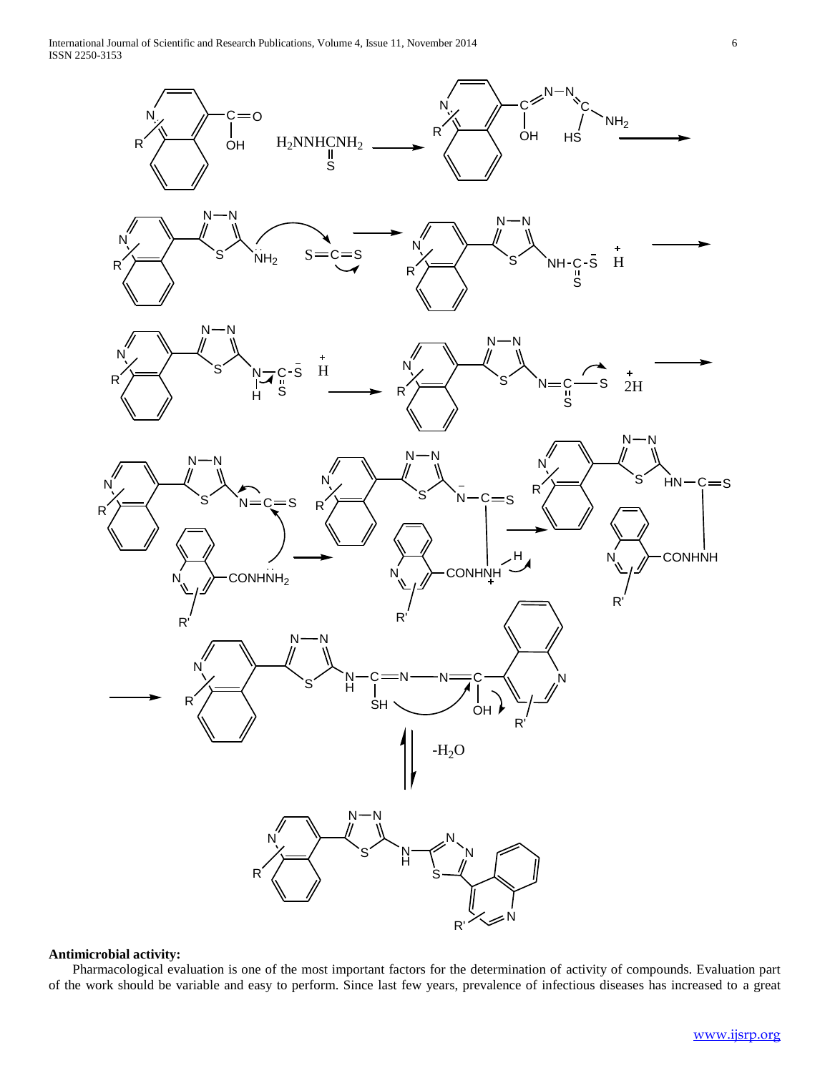International Journal of Scientific and Research Publications, Volume 4, Issue 11, November 2014 6 ISSN 2250-3153

 $N_{\nu}$   $\rightarrow$   $C=0$ OH  $H_2$ NNHCNH<sub>2</sub> ົ∥<br>S N /<del>)</del> C<sup>3</sup> OH  $N-N$ C. HS  $NH<sub>2</sub>$  $N - N$ S´ N)  $R \rightarrow$   $\leftarrow$   $\leftarrow$   $\leftarrow$   $\leftarrow$   $\leftarrow$   $\leftarrow$   $\leftarrow$   $\leftarrow$   $\leftarrow$   $\leftarrow$   $\leftarrow$   $\leftarrow$   $\leftarrow$   $\leftarrow$   $\leftarrow$   $\leftarrow$   $\leftarrow$   $\leftarrow$   $\leftarrow$   $\leftarrow$   $\leftarrow$   $\leftarrow$   $\leftarrow$   $\leftarrow$   $\leftarrow$   $\leftarrow$   $\leftarrow$   $\leftarrow$   $\leftarrow$   $\leftarrow$   $\leftarrow$   $\leftarrow$   $\leftarrow$   $\leftarrow$   $\leftarrow$   $\leftarrow$  $N - N$ S N)  $S=C=S$   $X=$   $S$   $NH-C-S$ R) S H  $N - N$ S´ N N R - s S H H N N  $\mathsf{S}^\prime$ N  $\mathsf{N}$ : R ں<br>ה S  $\overrightarrow{s}$   $\frac{1}{2}$ H  $N - N$ S´ N)  $N =$ R  $=$ S  $N \rightarrow$ CONHNH<sub>2</sub> R'  $N - N$  $\mathsf{S}^\prime$  $N<sub>1</sub>$ N R' R  $N - N$ S  $N<sub>1</sub>$ N H S N N. R  $N - N$ S N) N R  $c = s$ **CONHNH** R' H  $N - N$ S N) HN R.  $c = s$ **CONHNH** R' N H C SH  $\mathsf{C}$  $\overrightarrow{O}$ H  $\mathsf{N}$  $-H<sub>2</sub>O$ R R

# **Antimicrobial activity:**

 Pharmacological evaluation is one of the most important factors for the determination of activity of compounds. Evaluation part of the work should be variable and easy to perform. Since last few years, prevalence of infectious diseases has increased to a great

R'

N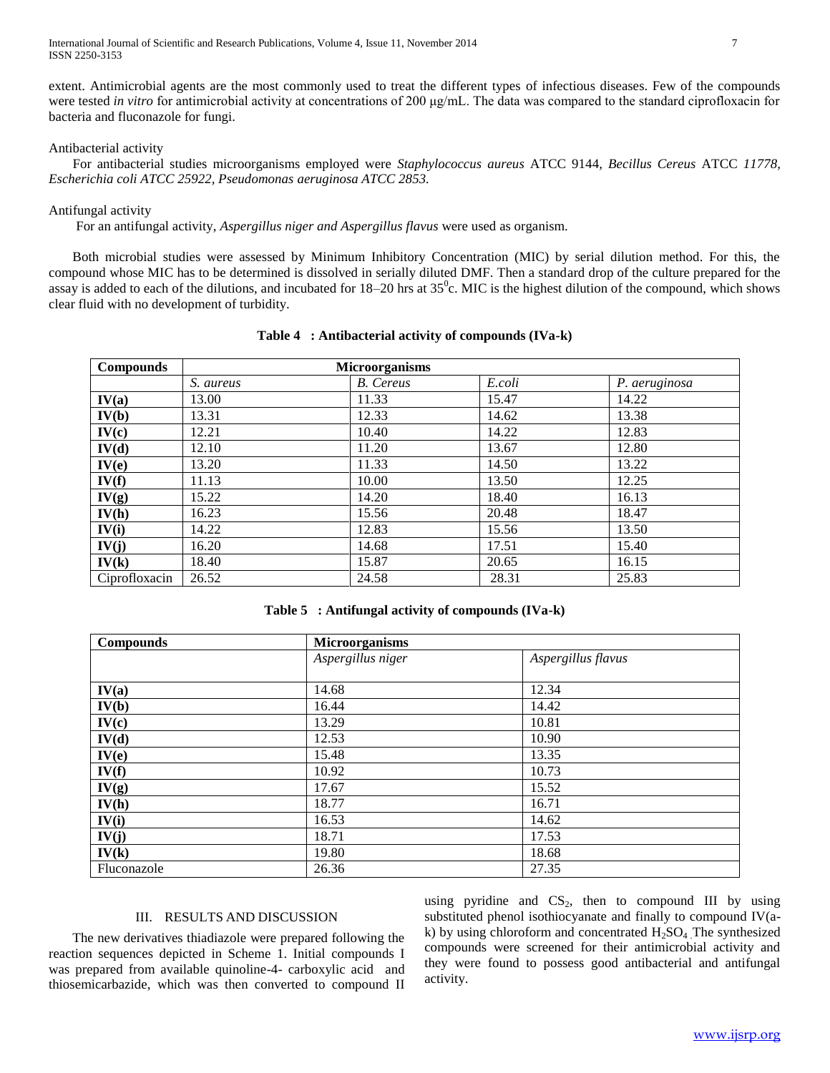International Journal of Scientific and Research Publications, Volume 4, Issue 11, November 2014 7 ISSN 2250-3153

extent. Antimicrobial agents are the most commonly used to treat the different types of infectious diseases. Few of the compounds were tested *in vitro* for antimicrobial activity at concentrations of 200 μg/mL. The data was compared to the standard ciprofloxacin for bacteria and fluconazole for fungi.

## Antibacterial activity

 For antibacterial studies microorganisms employed were *Staphylococcus aureus* ATCC 9144*, Becillus Cereus* ATCC *11778, Escherichia coli ATCC 25922, Pseudomonas aeruginosa ATCC 2853.*

# Antifungal activity

For an antifungal activity, *Aspergillus niger and Aspergillus flavus* were used as organism.

 Both microbial studies were assessed by Minimum Inhibitory Concentration (MIC) by serial dilution method. For this, the compound whose MIC has to be determined is dissolved in serially diluted DMF. Then a standard drop of the culture prepared for the assay is added to each of the dilutions, and incubated for  $18-20$  hrs at  $35^{\circ}$ c. MIC is the highest dilution of the compound, which shows clear fluid with no development of turbidity.

| <b>Compounds</b> |           | <b>Microorganisms</b> |        |               |
|------------------|-----------|-----------------------|--------|---------------|
|                  | S. aureus | <b>B.</b> Cereus      | E.coli | P. aeruginosa |
| IV(a)            | 13.00     | 11.33                 | 15.47  | 14.22         |
| IV(b)            | 13.31     | 12.33                 | 14.62  | 13.38         |
| IV(c)            | 12.21     | 10.40                 | 14.22  | 12.83         |
| IV(d)            | 12.10     | 11.20                 | 13.67  | 12.80         |
| IV(e)            | 13.20     | 11.33                 | 14.50  | 13.22         |
| IV(f)            | 11.13     | 10.00                 | 13.50  | 12.25         |
| IV(g)            | 15.22     | 14.20                 | 18.40  | 16.13         |
| IV(h)            | 16.23     | 15.56                 | 20.48  | 18.47         |
| IV(i)            | 14.22     | 12.83                 | 15.56  | 13.50         |

**IV(j)** 16.20 14.68 17.51 15.40 **IV(k)** 18.40 15.87 20.65 16.15 Ciprofloxacin | 26.52 | 24.58 | 28.31 | 25.83

**Table 4 : Antibacterial activity of compounds (IVa-k)**

|  | Table 5 : Antifungal activity of compounds (IVa-k) |  |  |  |
|--|----------------------------------------------------|--|--|--|
|--|----------------------------------------------------|--|--|--|

| <b>Compounds</b> | Microorganisms    |                    |  |
|------------------|-------------------|--------------------|--|
|                  | Aspergillus niger | Aspergillus flavus |  |
|                  |                   |                    |  |
| IV(a)            | 14.68             | 12.34              |  |
| IV(b)            | 16.44             | 14.42              |  |
| IV(c)            | 13.29             | 10.81              |  |
| IV(d)            | 12.53             | 10.90              |  |
| IV(e)            | 15.48             | 13.35              |  |
| IV(f)            | 10.92             | 10.73              |  |
| IV(g)            | 17.67             | 15.52              |  |
| IV(h)            | 18.77             | 16.71              |  |
| IV(i)            | 16.53             | 14.62              |  |
| IV(j)            | 18.71             | 17.53              |  |
| IV(k)            | 19.80             | 18.68              |  |
| Fluconazole      | 26.36             | 27.35              |  |

# III. RESULTS AND DISCUSSION

 The new derivatives thiadiazole were prepared following the reaction sequences depicted in Scheme 1. Initial compounds I was prepared from available quinoline-4- carboxylic acid and thiosemicarbazide, which was then converted to compound II using pyridine and  $CS_2$ , then to compound III by using substituted phenol isothiocyanate and finally to compound IV(ak) by using chloroform and concentrated  $H_2SO_4$ . The synthesized compounds were screened for their antimicrobial activity and they were found to possess good antibacterial and antifungal activity.